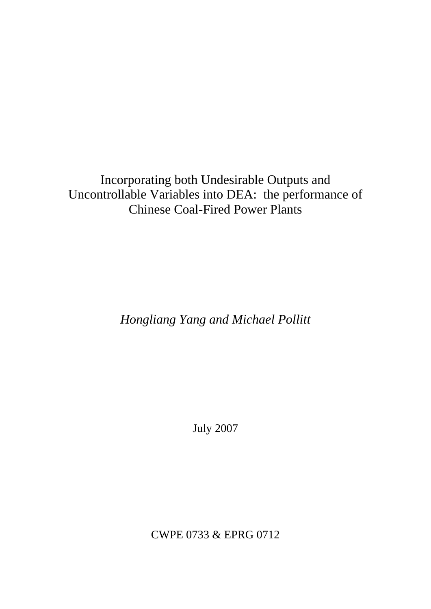Incorporating both Undesirable Outputs and Uncontrollable Variables into DEA: the performance of Chinese Coal-Fired Power Plants

*Hongliang Yang and Michael Pollitt* 

July 2007

CWPE 0733 & EPRG 0712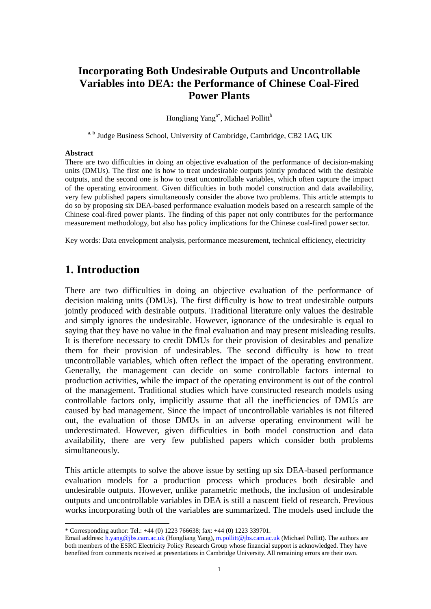# **Incorporating Both Undesirable Outputs and Uncontrollable Variables into DEA: the Performance of Chinese Coal-Fired Power Plants**

Hongliang Yang<sup>a\*</sup>, Michael Pollitt<sup>b</sup>

a, b Judge Business School, University of Cambridge, Cambridge, CB2 1AG, UK

#### **Abstract**

 $\overline{a}$ 

There are two difficulties in doing an objective evaluation of the performance of decision-making units (DMUs). The first one is how to treat undesirable outputs jointly produced with the desirable outputs, and the second one is how to treat uncontrollable variables, which often capture the impact of the operating environment. Given difficulties in both model construction and data availability, very few published papers simultaneously consider the above two problems. This article attempts to do so by proposing six DEA-based performance evaluation models based on a research sample of the Chinese coal-fired power plants. The finding of this paper not only contributes for the performance measurement methodology, but also has policy implications for the Chinese coal-fired power sector.

Key words: Data envelopment analysis, performance measurement, technical efficiency, electricity

# **1. Introduction**

There are two difficulties in doing an objective evaluation of the performance of decision making units (DMUs). The first difficulty is how to treat undesirable outputs jointly produced with desirable outputs. Traditional literature only values the desirable and simply ignores the undesirable. However, ignorance of the undesirable is equal to saying that they have no value in the final evaluation and may present misleading results. It is therefore necessary to credit DMUs for their provision of desirables and penalize them for their provision of undesirables. The second difficulty is how to treat uncontrollable variables, which often reflect the impact of the operating environment. Generally, the management can decide on some controllable factors internal to production activities, while the impact of the operating environment is out of the control of the management. Traditional studies which have constructed research models using controllable factors only, implicitly assume that all the inefficiencies of DMUs are caused by bad management. Since the impact of uncontrollable variables is not filtered out, the evaluation of those DMUs in an adverse operating environment will be underestimated. However, given difficulties in both model construction and data availability, there are very few published papers which consider both problems simultaneously.

This article attempts to solve the above issue by setting up six DEA-based performance evaluation models for a production process which produces both desirable and undesirable outputs. However, unlike parametric methods, the inclusion of undesirable outputs and uncontrollable variables in DEA is still a nascent field of research. Previous works incorporating both of the variables are summarized. The models used include the

<sup>\*</sup> Corresponding author: Tel.: +44 (0) 1223 766638; fax: +44 (0) 1223 339701.

Email address: h.yang@jbs.cam.ac.uk (Hongliang Yang), m.pollitt@jbs.cam.ac.uk (Michael Pollitt). The authors are both members of the ESRC Electricity Policy Research Group whose financial support is acknowledged. They have benefited from comments received at presentations in Cambridge University. All remaining errors are their own.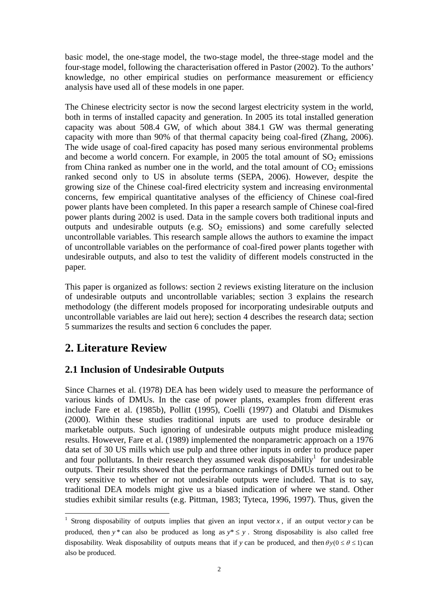basic model, the one-stage model, the two-stage model, the three-stage model and the four-stage model, following the characterisation offered in Pastor (2002). To the authors' knowledge, no other empirical studies on performance measurement or efficiency analysis have used all of these models in one paper.

The Chinese electricity sector is now the second largest electricity system in the world, both in terms of installed capacity and generation. In 2005 its total installed generation capacity was about 508.4 GW, of which about 384.1 GW was thermal generating capacity with more than 90% of that thermal capacity being coal-fired (Zhang, 2006). The wide usage of coal-fired capacity has posed many serious environmental problems and become a world concern. For example, in 2005 the total amount of  $SO<sub>2</sub>$  emissions from China ranked as number one in the world, and the total amount of  $CO<sub>2</sub>$  emissions ranked second only to US in absolute terms (SEPA, 2006). However, despite the growing size of the Chinese coal-fired electricity system and increasing environmental concerns, few empirical quantitative analyses of the efficiency of Chinese coal-fired power plants have been completed. In this paper a research sample of Chinese coal-fired power plants during 2002 is used. Data in the sample covers both traditional inputs and outputs and undesirable outputs (e.g.  $SO_2$  emissions) and some carefully selected uncontrollable variables. This research sample allows the authors to examine the impact of uncontrollable variables on the performance of coal-fired power plants together with undesirable outputs, and also to test the validity of different models constructed in the paper.

This paper is organized as follows: section 2 reviews existing literature on the inclusion of undesirable outputs and uncontrollable variables; section 3 explains the research methodology (the different models proposed for incorporating undesirable outputs and uncontrollable variables are laid out here); section 4 describes the research data; section 5 summarizes the results and section 6 concludes the paper.

# **2. Literature Review**

## **2.1 Inclusion of Undesirable Outputs**

Since Charnes et al. (1978) DEA has been widely used to measure the performance of various kinds of DMUs. In the case of power plants, examples from different eras include Fare et al. (1985b), Pollitt (1995), Coelli (1997) and Olatubi and Dismukes (2000). Within these studies traditional inputs are used to produce desirable or marketable outputs. Such ignoring of undesirable outputs might produce misleading results. However, Fare et al. (1989) implemented the nonparametric approach on a 1976 data set of 30 US mills which use pulp and three other inputs in order to produce paper and four pollutants. In their research they assumed weak disposability<sup>1</sup> for undesirable outputs. Their results showed that the performance rankings of DMUs turned out to be very sensitive to whether or not undesirable outputs were included. That is to say, traditional DEA models might give us a biased indication of where we stand. Other studies exhibit similar results (e.g. Pittman, 1983; Tyteca, 1996, 1997). Thus, given the

<sup>&</sup>lt;sup>1</sup> Strong disposability of outputs implies that given an input vector *x*, if an output vector *y* can be produced, then *y*<sup>\*</sup> can also be produced as long as  $y^* \le y$ . Strong disposability is also called free disposability. Weak disposability of outputs means that if *y* can be produced, and then  $\theta y(0 \le \theta \le 1)$  can also be produced.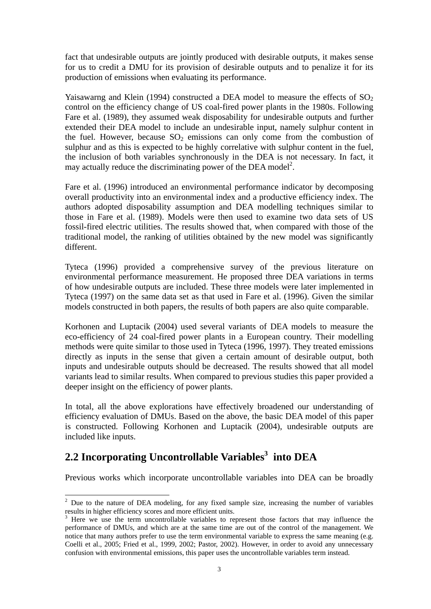fact that undesirable outputs are jointly produced with desirable outputs, it makes sense for us to credit a DMU for its provision of desirable outputs and to penalize it for its production of emissions when evaluating its performance.

Yaisawarng and Klein (1994) constructed a DEA model to measure the effects of  $SO<sub>2</sub>$ control on the efficiency change of US coal-fired power plants in the 1980s. Following Fare et al. (1989), they assumed weak disposability for undesirable outputs and further extended their DEA model to include an undesirable input, namely sulphur content in the fuel. However, because  $SO_2$  emissions can only come from the combustion of sulphur and as this is expected to be highly correlative with sulphur content in the fuel, the inclusion of both variables synchronously in the DEA is not necessary. In fact, it may actually reduce the discriminating power of the DEA model<sup>2</sup>.

Fare et al. (1996) introduced an environmental performance indicator by decomposing overall productivity into an environmental index and a productive efficiency index. The authors adopted disposability assumption and DEA modelling techniques similar to those in Fare et al. (1989). Models were then used to examine two data sets of US fossil-fired electric utilities. The results showed that, when compared with those of the traditional model, the ranking of utilities obtained by the new model was significantly different.

Tyteca (1996) provided a comprehensive survey of the previous literature on environmental performance measurement. He proposed three DEA variations in terms of how undesirable outputs are included. These three models were later implemented in Tyteca (1997) on the same data set as that used in Fare et al. (1996). Given the similar models constructed in both papers, the results of both papers are also quite comparable.

Korhonen and Luptacik (2004) used several variants of DEA models to measure the eco-efficiency of 24 coal-fired power plants in a European country. Their modelling methods were quite similar to those used in Tyteca (1996, 1997). They treated emissions directly as inputs in the sense that given a certain amount of desirable output, both inputs and undesirable outputs should be decreased. The results showed that all model variants lead to similar results. When compared to previous studies this paper provided a deeper insight on the efficiency of power plants.

In total, all the above explorations have effectively broadened our understanding of efficiency evaluation of DMUs. Based on the above, the basic DEA model of this paper is constructed. Following Korhonen and Luptacik (2004), undesirable outputs are included like inputs.

# **2.2 Incorporating Uncontrollable Variables<sup>3</sup> into DEA**

 $\overline{a}$ 

Previous works which incorporate uncontrollable variables into DEA can be broadly

 $2$  Due to the nature of DEA modeling, for any fixed sample size, increasing the number of variables results in higher efficiency scores and more efficient units.

<sup>&</sup>lt;sup>3</sup> Here we use the term uncontrollable variables to represent those factors that may influence the performance of DMUs, and which are at the same time are out of the control of the management. We notice that many authors prefer to use the term environmental variable to express the same meaning (e.g. Coelli et al., 2005; Fried et al., 1999, 2002; Pastor, 2002). However, in order to avoid any unnecessary confusion with environmental emissions, this paper uses the uncontrollable variables term instead.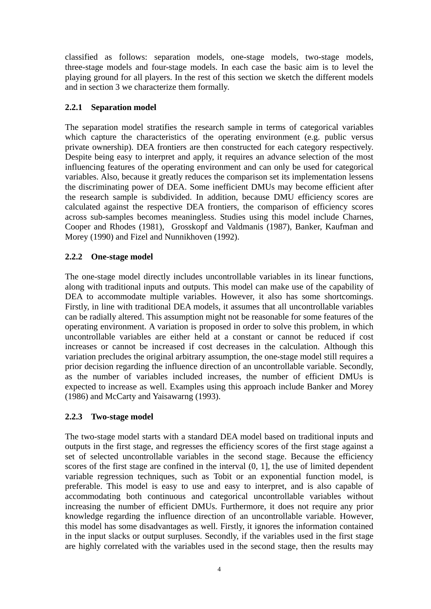classified as follows: separation models, one-stage models, two-stage models, three-stage models and four-stage models. In each case the basic aim is to level the playing ground for all players. In the rest of this section we sketch the different models and in section 3 we characterize them formally.

#### **2.2.1 Separation model**

The separation model stratifies the research sample in terms of categorical variables which capture the characteristics of the operating environment (e.g. public versus private ownership). DEA frontiers are then constructed for each category respectively. Despite being easy to interpret and apply, it requires an advance selection of the most influencing features of the operating environment and can only be used for categorical variables. Also, because it greatly reduces the comparison set its implementation lessens the discriminating power of DEA. Some inefficient DMUs may become efficient after the research sample is subdivided. In addition, because DMU efficiency scores are calculated against the respective DEA frontiers, the comparison of efficiency scores across sub-samples becomes meaningless. Studies using this model include Charnes, Cooper and Rhodes (1981), Grosskopf and Valdmanis (1987), Banker, Kaufman and Morey (1990) and Fizel and Nunnikhoven (1992).

### **2.2.2 One-stage model**

The one-stage model directly includes uncontrollable variables in its linear functions, along with traditional inputs and outputs. This model can make use of the capability of DEA to accommodate multiple variables. However, it also has some shortcomings. Firstly, in line with traditional DEA models, it assumes that all uncontrollable variables can be radially altered. This assumption might not be reasonable for some features of the operating environment. A variation is proposed in order to solve this problem, in which uncontrollable variables are either held at a constant or cannot be reduced if cost increases or cannot be increased if cost decreases in the calculation. Although this variation precludes the original arbitrary assumption, the one-stage model still requires a prior decision regarding the influence direction of an uncontrollable variable. Secondly, as the number of variables included increases, the number of efficient DMUs is expected to increase as well. Examples using this approach include Banker and Morey (1986) and McCarty and Yaisawarng (1993).

#### **2.2.3 Two-stage model**

The two-stage model starts with a standard DEA model based on traditional inputs and outputs in the first stage, and regresses the efficiency scores of the first stage against a set of selected uncontrollable variables in the second stage. Because the efficiency scores of the first stage are confined in the interval (0, 1], the use of limited dependent variable regression techniques, such as Tobit or an exponential function model, is preferable. This model is easy to use and easy to interpret, and is also capable of accommodating both continuous and categorical uncontrollable variables without increasing the number of efficient DMUs. Furthermore, it does not require any prior knowledge regarding the influence direction of an uncontrollable variable. However, this model has some disadvantages as well. Firstly, it ignores the information contained in the input slacks or output surpluses. Secondly, if the variables used in the first stage are highly correlated with the variables used in the second stage, then the results may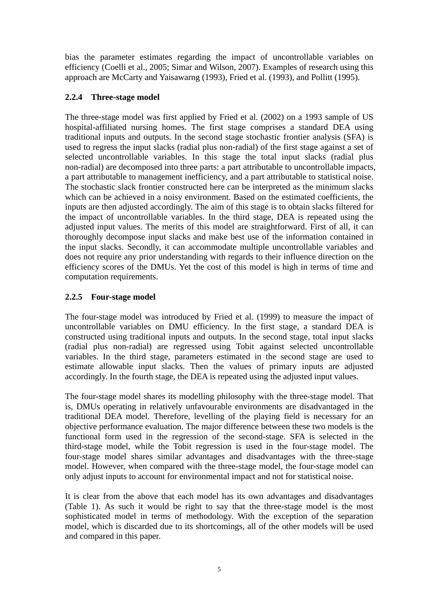bias the parameter estimates regarding the impact of uncontrollable variables on efficiency (Coelli et al., 2005; Simar and Wilson, 2007). Examples of research using this approach are McCarty and Yaisawarng (1993), Fried et al. (1993), and Pollitt (1995).

#### **2.2.4 Three-stage model**

The three-stage model was first applied by Fried et al. (2002) on a 1993 sample of US hospital-affiliated nursing homes. The first stage comprises a standard DEA using traditional inputs and outputs. In the second stage stochastic frontier analysis (SFA) is used to regress the input slacks (radial plus non-radial) of the first stage against a set of selected uncontrollable variables. In this stage the total input slacks (radial plus non-radial) are decomposed into three parts: a part attributable to uncontrollable impacts, a part attributable to management inefficiency, and a part attributable to statistical noise. The stochastic slack frontier constructed here can be interpreted as the minimum slacks which can be achieved in a noisy environment. Based on the estimated coefficients, the inputs are then adjusted accordingly. The aim of this stage is to obtain slacks filtered for the impact of uncontrollable variables. In the third stage, DEA is repeated using the adjusted input values. The merits of this model are straightforward. First of all, it can thoroughly decompose input slacks and make best use of the information contained in the input slacks. Secondly, it can accommodate multiple uncontrollable variables and does not require any prior understanding with regards to their influence direction on the efficiency scores of the DMUs. Yet the cost of this model is high in terms of time and computation requirements.

### **2.2.5 Four-stage model**

The four-stage model was introduced by Fried et al. (1999) to measure the impact of uncontrollable variables on DMU efficiency. In the first stage, a standard DEA is constructed using traditional inputs and outputs. In the second stage, total input slacks (radial plus non-radial) are regressed using Tobit against selected uncontrollable variables. In the third stage, parameters estimated in the second stage are used to estimate allowable input slacks. Then the values of primary inputs are adjusted accordingly. In the fourth stage, the DEA is repeated using the adjusted input values.

The four-stage model shares its modelling philosophy with the three-stage model. That is, DMUs operating in relatively unfavourable environments are disadvantaged in the traditional DEA model. Therefore, levelling of the playing field is necessary for an objective performance evaluation. The major difference between these two models is the functional form used in the regression of the second-stage. SFA is selected in the third-stage model, while the Tobit regression is used in the four-stage model. The four-stage model shares similar advantages and disadvantages with the three-stage model. However, when compared with the three-stage model, the four-stage model can only adjust inputs to account for environmental impact and not for statistical noise.

It is clear from the above that each model has its own advantages and disadvantages (Table 1). As such it would be right to say that the three-stage model is the most sophisticated model in terms of methodology. With the exception of the separation model, which is discarded due to its shortcomings, all of the other models will be used and compared in this paper.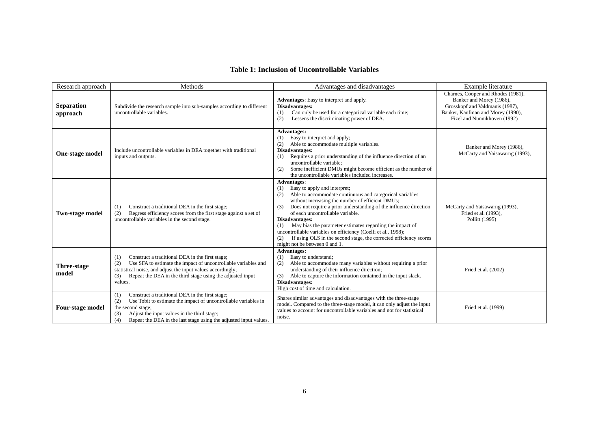#### **Table 1: Inclusion of Uncontrollable Variables**

| Research approach             | Methods                                                                                                                                                                                                                                                                                 | Advantages and disadvantages                                                                                                                                                                                                                                                                                                                                                                                                                                                                                                                          | Example literature                                                                                                                                                     |
|-------------------------------|-----------------------------------------------------------------------------------------------------------------------------------------------------------------------------------------------------------------------------------------------------------------------------------------|-------------------------------------------------------------------------------------------------------------------------------------------------------------------------------------------------------------------------------------------------------------------------------------------------------------------------------------------------------------------------------------------------------------------------------------------------------------------------------------------------------------------------------------------------------|------------------------------------------------------------------------------------------------------------------------------------------------------------------------|
| <b>Separation</b><br>approach | Subdivide the research sample into sub-samples according to different<br>uncontrollable variables.                                                                                                                                                                                      | Advantages: Easy to interpret and apply.<br>Disadvantages:<br>Can only be used for a categorical variable each time;<br>(1)<br>Lessens the discriminating power of DEA.<br>(2)                                                                                                                                                                                                                                                                                                                                                                        | Charnes, Cooper and Rhodes (1981),<br>Banker and Morey (1986),<br>Grosskopf and Valdmanis (1987),<br>Banker, Kaufman and Morey (1990),<br>Fizel and Nunnikhoven (1992) |
| One-stage model               | Include uncontrollable variables in DEA together with traditional<br>inputs and outputs.                                                                                                                                                                                                | <b>Advantages:</b><br>Easy to interpret and apply;<br>(1)<br>Able to accommodate multiple variables.<br>(2)<br>Disadvantages:<br>Requires a prior understanding of the influence direction of an<br>(1)<br>uncontrollable variable;<br>Some inefficient DMUs might become efficient as the number of<br>(2)<br>the uncontrollable variables included increases.                                                                                                                                                                                       | Banker and Morey (1986),<br>McCarty and Yaisawarng (1993),                                                                                                             |
| <b>Two-stage model</b>        | Construct a traditional DEA in the first stage;<br>(1)<br>Regress efficiency scores from the first stage against a set of<br>(2)<br>uncontrollable variables in the second stage.                                                                                                       | <b>Advantages:</b><br>Easy to apply and interpret;<br>(1)<br>Able to accommodate continuous and categorical variables<br>without increasing the number of efficient DMUs;<br>Does not require a prior understanding of the influence direction<br>(3)<br>of each uncontrollable variable.<br>Disadvantages:<br>May bias the parameter estimates regarding the impact of<br>(1)<br>uncontrollable variables on efficiency (Coelli et al., 1998);<br>If using OLS in the second stage, the corrected efficiency scores<br>might not be between 0 and 1. | McCarty and Yaisawarng (1993),<br>Fried et al. (1993),<br>Pollitt (1995)                                                                                               |
| <b>Three-stage</b><br>model   | Construct a traditional DEA in the first stage;<br>(1)<br>Use SFA to estimate the impact of uncontrollable variables and<br>(2)<br>statistical noise, and adjust the input values accordingly;<br>Repeat the DEA in the third stage using the adjusted input<br>(3)<br>values.          | <b>Advantages:</b><br>Easy to understand;<br>(1)<br>Able to accommodate many variables without requiring a prior<br>(2)<br>understanding of their influence direction;<br>Able to capture the information contained in the input slack.<br>(3)<br>Disadvantages:<br>High cost of time and calculation.                                                                                                                                                                                                                                                | Fried et al. (2002)                                                                                                                                                    |
| <b>Four-stage model</b>       | Construct a traditional DEA in the first stage;<br>(1)<br>Use Tobit to estimate the impact of uncontrollable variables in<br>(2)<br>the second stage;<br>Adjust the input values in the third stage;<br>(3)<br>(4)<br>Repeat the DEA in the last stage using the adjusted input values. | Shares similar advantages and disadvantages with the three-stage<br>model. Compared to the three-stage model, it can only adjust the input<br>values to account for uncontrollable variables and not for statistical<br>noise.                                                                                                                                                                                                                                                                                                                        | Fried et al. (1999)                                                                                                                                                    |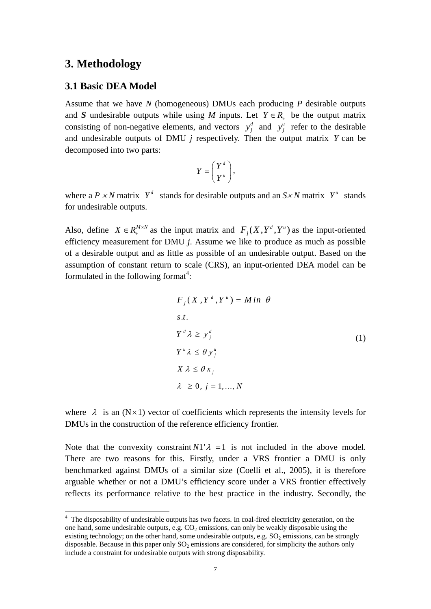### **3. Methodology**

#### **3.1 Basic DEA Model**

Assume that we have *N* (homogeneous) DMUs each producing *P* desirable outputs and *S* undesirable outputs while using *M* inputs. Let  $Y \in R_+$  be the output matrix consisting of non-negative elements, and vectors  $y_j^d$  and  $y_j^u$  refer to the desirable and undesirable outputs of DMU *j* respectively. Then the output matrix *Y* can be decomposed into two parts:

$$
Y=\left(\begin{matrix} Y^d \\ Y^u \end{matrix}\right),
$$

where a *P × N* matrix  $Y^d$  stands for desirable outputs and an  $S \times N$  matrix  $Y^u$  stands for undesirable outputs.

Also, define  $X \in R_{+}^{M \times N}$  as the input matrix and  $F_j(X, Y^d, Y^u)$  as the input-oriented efficiency measurement for DMU *j*. Assume we like to produce as much as possible of a desirable output and as little as possible of an undesirable output. Based on the assumption of constant return to scale (CRS), an input-oriented DEA model can be formulated in the following format<sup>4</sup>:

$$
F_j(X, Y^d, Y^u) = Min \theta
$$
  
s.t.  

$$
Y^d \lambda \ge y_j^d
$$
  

$$
Y^u \lambda \le \theta y_j^u
$$
  

$$
X \lambda \le \theta x_j
$$
  

$$
\lambda \ge 0, j = 1, ..., N
$$

where  $\lambda$  is an (N×1) vector of coefficients which represents the intensity levels for DMUs in the construction of the reference efficiency frontier.

Note that the convexity constraint  $N^1 \lambda = 1$  is not included in the above model. There are two reasons for this. Firstly, under a VRS frontier a DMU is only benchmarked against DMUs of a similar size (Coelli et al., 2005), it is therefore arguable whether or not a DMU's efficiency score under a VRS frontier effectively reflects its performance relative to the best practice in the industry. Secondly, the

 4 The disposability of undesirable outputs has two facets. In coal-fired electricity generation, on the one hand, some undesirable outputs, e.g.  $CO<sub>2</sub>$  emissions, can only be weakly disposable using the existing technology; on the other hand, some undesirable outputs, e.g.  $SO_2$  emissions, can be strongly disposable. Because in this paper only  $SO_2$  emissions are considered, for simplicity the authors only include a constraint for undesirable outputs with strong disposability.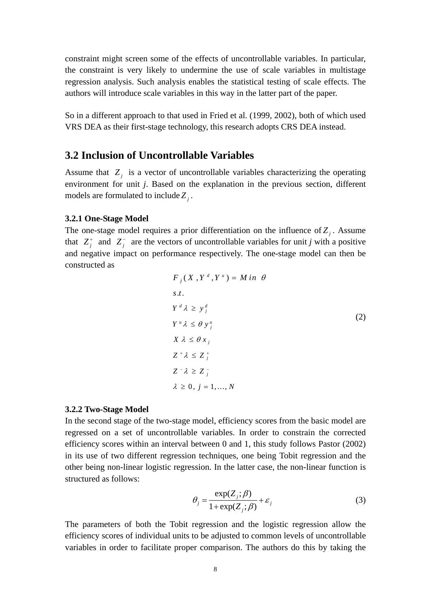constraint might screen some of the effects of uncontrollable variables. In particular, the constraint is very likely to undermine the use of scale variables in multistage regression analysis. Such analysis enables the statistical testing of scale effects. The authors will introduce scale variables in this way in the latter part of the paper.

So in a different approach to that used in Fried et al. (1999, 2002), both of which used VRS DEA as their first-stage technology, this research adopts CRS DEA instead.

### **3.2 Inclusion of Uncontrollable Variables**

Assume that  $Z_i$  is a vector of uncontrollable variables characterizing the operating environment for unit *j*. Based on the explanation in the previous section, different models are formulated to include  $Z_i$ .

#### **3.2.1 One-Stage Model**

The one-stage model requires a prior differentiation on the influence of  $Z_i$ . Assume that  $Z_j^+$  and  $Z_j^-$  are the vectors of uncontrollable variables for unit *j* with a positive and negative impact on performance respectively. The one-stage model can then be constructed as

$$
F_j(X, Y^d, Y^u) = Min \theta
$$
  
s.t.  

$$
Y^d \lambda \ge y_j^d
$$
  

$$
Y^u \lambda \le \theta y_j^u
$$
  

$$
X \lambda \le \theta x_j
$$
  

$$
Z^+ \lambda \le Z_j^+
$$
  

$$
Z^- \lambda \ge Z_j^-
$$
  

$$
\lambda \ge 0, j = 1, ..., N
$$

#### **3.2.2 Two-Stage Model**

In the second stage of the two-stage model, efficiency scores from the basic model are regressed on a set of uncontrollable variables. In order to constrain the corrected efficiency scores within an interval between 0 and 1, this study follows Pastor (2002) in its use of two different regression techniques, one being Tobit regression and the other being non-linear logistic regression. In the latter case, the non-linear function is structured as follows:

$$
\theta_j = \frac{\exp(Z_j; \beta)}{1 + \exp(Z_j; \beta)} + \varepsilon_j \tag{3}
$$

The parameters of both the Tobit regression and the logistic regression allow the efficiency scores of individual units to be adjusted to common levels of uncontrollable variables in order to facilitate proper comparison. The authors do this by taking the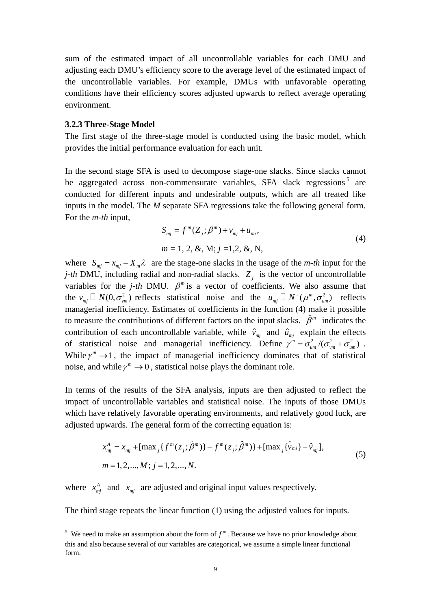sum of the estimated impact of all uncontrollable variables for each DMU and adjusting each DMU's efficiency score to the average level of the estimated impact of the uncontrollable variables. For example, DMUs with unfavorable operating conditions have their efficiency scores adjusted upwards to reflect average operating environment.

#### **3.2.3 Three-Stage Model**

 $\overline{a}$ 

The first stage of the three-stage model is conducted using the basic model, which provides the initial performance evaluation for each unit.

In the second stage SFA is used to decompose stage-one slacks. Since slacks cannot be aggregated across non-commensurate variables, SFA slack regressions<sup>5</sup> are conducted for different inputs and undesirable outputs, which are all treated like inputs in the model. The *M* separate SFA regressions take the following general form. For the *m-th* input,

$$
S_{mj} = f^{m}(Z_j; \beta^{m}) + v_{mj} + u_{mj},
$$
  
\n
$$
m = 1, 2, \& M; j = 1, 2, \& N,
$$
\n(4)

where  $S_{mj} = x_{mj} - X_m \lambda$  are the stage-one slacks in the usage of the *m-th* input for the *j-th* DMU, including radial and non-radial slacks.  $Z_i$  is the vector of uncontrollable variables for the *j-th* DMU.  $\beta^m$  is a vector of coefficients. We also assume that the  $v_{mj} \Box N(0, \sigma_{vm}^2)$  reflects statistical noise and the  $u_{mj} \Box N^+(\mu^m, \sigma_{um}^2)$  reflects managerial inefficiency. Estimates of coefficients in the function (4) make it possible to measure the contributions of different factors on the input slacks.  $\hat{\beta}^m$  indicates the contribution of each uncontrollable variable, while  $\hat{v}_{mi}$  and  $\hat{u}_{mi}$  explain the effects of statistical noise and managerial inefficiency. Define  $\gamma^m = \sigma_{um}^2 /(\sigma_{vm}^2 + \sigma_{um}^2)$ . While  $\gamma^m \rightarrow 1$ , the impact of managerial inefficiency dominates that of statistical noise, and while  $\gamma^m \to 0$ , statistical noise plays the dominant role.

In terms of the results of the SFA analysis, inputs are then adjusted to reflect the impact of uncontrollable variables and statistical noise. The inputs of those DMUs which have relatively favorable operating environments, and relatively good luck, are adjusted upwards. The general form of the correcting equation is:

$$
x_{mj}^{A} = x_{mj} + [\max_{j} \{ f^{m}(z_{j}; \hat{\beta}^{m}) \} - f^{m}(z_{j}; \hat{\beta}^{m}) \} + [\max_{j} \{\hat{\nu}_{mj}\} - \hat{\nu}_{mj}],
$$
  
\n
$$
m = 1, 2, ..., M; j = 1, 2, ..., N.
$$
\n(5)

where  $x_{mj}^A$  and  $x_{mj}$  are adjusted and original input values respectively.

The third stage repeats the linear function (1) using the adjusted values for inputs.

<sup>&</sup>lt;sup>5</sup> We need to make an assumption about the form of  $f^m$ . Because we have no prior knowledge about this and also because several of our variables are categorical, we assume a simple linear functional form.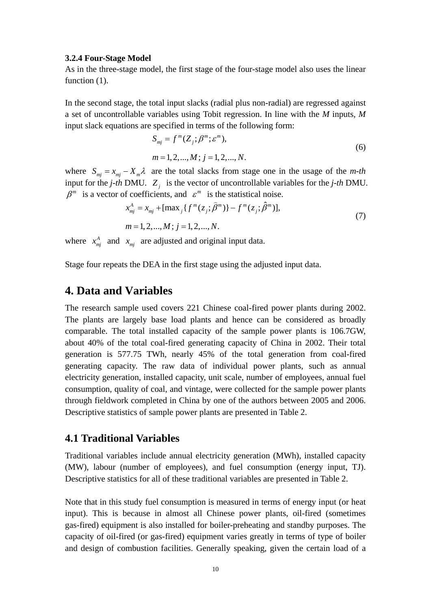#### **3.2.4 Four-Stage Model**

As in the three-stage model, the first stage of the four-stage model also uses the linear function  $(1)$ .

In the second stage, the total input slacks (radial plus non-radial) are regressed against a set of uncontrollable variables using Tobit regression. In line with the *M* inputs, *M* input slack equations are specified in terms of the following form:

$$
S_{mj} = f^{m}(Z_j; \beta^{m}; \varepsilon^{m}),
$$
  
\n
$$
m = 1, 2, ..., M; j = 1, 2, ..., N.
$$
\n(6)

where  $S_{mi} = x_{mi} - X_m \lambda$  are the total slacks from stage one in the usage of the *m-th* input for the *j-th* DMU.  $Z_j$  is the vector of uncontrollable variables for the *j-th* DMU.  $\beta^m$  is a vector of coefficients, and  $\varepsilon^m$  is the statistical noise.

$$
x_{mj}^{A} = x_{mj} + [\max_{j} \{ f^{m}(z_{j}; \hat{\beta}^{m}) \} - f^{m}(z_{j}; \hat{\beta}^{m})],
$$
  
\n
$$
m = 1, 2, ..., M; j = 1, 2, ..., N.
$$
\n(7)

where  $x_{mj}^A$  and  $x_{mj}$  are adjusted and original input data.

Stage four repeats the DEA in the first stage using the adjusted input data.

### **4. Data and Variables**

The research sample used covers 221 Chinese coal-fired power plants during 2002. The plants are largely base load plants and hence can be considered as broadly comparable. The total installed capacity of the sample power plants is 106.7GW, about 40% of the total coal-fired generating capacity of China in 2002. Their total generation is 577.75 TWh, nearly 45% of the total generation from coal-fired generating capacity. The raw data of individual power plants, such as annual electricity generation, installed capacity, unit scale, number of employees, annual fuel consumption, quality of coal, and vintage, were collected for the sample power plants through fieldwork completed in China by one of the authors between 2005 and 2006. Descriptive statistics of sample power plants are presented in Table 2.

#### **4.1 Traditional Variables**

Traditional variables include annual electricity generation (MWh), installed capacity (MW), labour (number of employees), and fuel consumption (energy input, TJ). Descriptive statistics for all of these traditional variables are presented in Table 2.

Note that in this study fuel consumption is measured in terms of energy input (or heat input). This is because in almost all Chinese power plants, oil-fired (sometimes gas-fired) equipment is also installed for boiler-preheating and standby purposes. The capacity of oil-fired (or gas-fired) equipment varies greatly in terms of type of boiler and design of combustion facilities. Generally speaking, given the certain load of a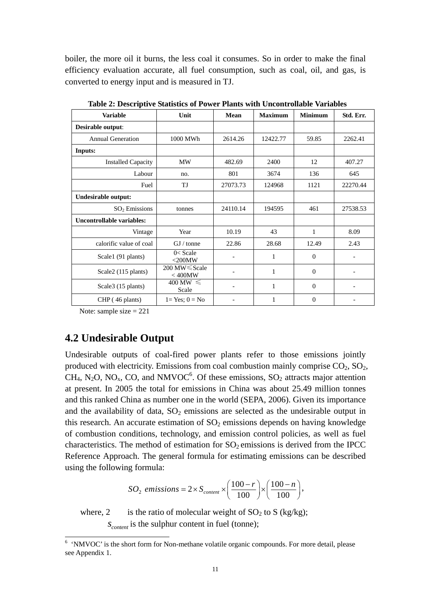boiler, the more oil it burns, the less coal it consumes. So in order to make the final efficiency evaluation accurate, all fuel consumption, such as coal, oil, and gas, is converted to energy input and is measured in TJ.

| <b>Variable</b>                  | Unit                       | <b>Mean</b>       | <b>Maximum</b> | <b>Minimum</b> | Std. Err. |
|----------------------------------|----------------------------|-------------------|----------------|----------------|-----------|
| Desirable output:                |                            |                   |                |                |           |
| <b>Annual Generation</b>         | 1000 MWh                   | 2614.26           | 12422.77       | 59.85          | 2262.41   |
| <b>Inputs:</b>                   |                            |                   |                |                |           |
| <b>Installed Capacity</b>        | MW                         | 482.69            | 2400           | 12             | 407.27    |
| Labour                           | no.                        | 801               | 3674           | 136            | 645       |
| Fuel                             | TJ                         | 27073.73          | 124968         | 1121           | 22270.44  |
| Undesirable output:              |                            |                   |                |                |           |
| $SO2$ Emissions                  | tonnes                     | 24110.14          | 194595         | 461            | 27538.53  |
| <b>Uncontrollable variables:</b> |                            |                   |                |                |           |
| Vintage                          | Year                       | 10.19             | 43             | 1              | 8.09      |
| calorific value of coal          | GI / tonne                 | 22.86             | 28.68          | 12.49          | 2.43      |
| Scale1 (91 plants)               | $0<$ Scale<br>$<$ 200 $MW$ |                   | 1              | $\theta$       |           |
| Scale2 (115 plants)              | 200 MW≤Scale<br>$<$ 400MW  |                   | 1              | $\theta$       |           |
| Scale3 (15 plants)               | 400 MW $\leq$<br>Scale     | $\qquad \qquad -$ | 1              | $\mathbf{0}$   |           |
| $CHP(46 \text{ plants})$         | $l = Yes$ ; $0 = No$       |                   | 1              | $\mathbf{0}$   |           |

**Table 2: Descriptive Statistics of Power Plants with Uncontrollable Variables** 

Note: sample size = 221

## **4.2 Undesirable Output**

Undesirable outputs of coal-fired power plants refer to those emissions jointly produced with electricity. Emissions from coal combustion mainly comprise  $CO<sub>2</sub>$ ,  $SO<sub>2</sub>$ , CH<sub>4</sub>, N<sub>2</sub>O, NO<sub>x</sub>, CO, and NMVOC<sup>6</sup>. Of these emissions, SO<sub>2</sub> attracts major attention at present. In 2005 the total for emissions in China was about 25.49 million tonnes and this ranked China as number one in the world (SEPA, 2006). Given its importance and the availability of data,  $SO<sub>2</sub>$  emissions are selected as the undesirable output in this research. An accurate estimation of  $SO_2$  emissions depends on having knowledge of combustion conditions, technology, and emission control policies, as well as fuel characteristics. The method of estimation for  $SO_2$  emissions is derived from the IPCC Reference Approach. The general formula for estimating emissions can be described using the following formula:

$$
SO_2 \text{ emissions} = 2 \times S_{\text{content}} \times \left(\frac{100 - r}{100}\right) \times \left(\frac{100 - n}{100}\right),
$$

where, 2 is the ratio of molecular weight of  $SO_2$  to S (kg/kg);  $S_{content}$  is the sulphur content in fuel (tonne);

 6 'NMVOC' is the short form for Non-methane volatile organic compounds. For more detail, please see Appendix 1.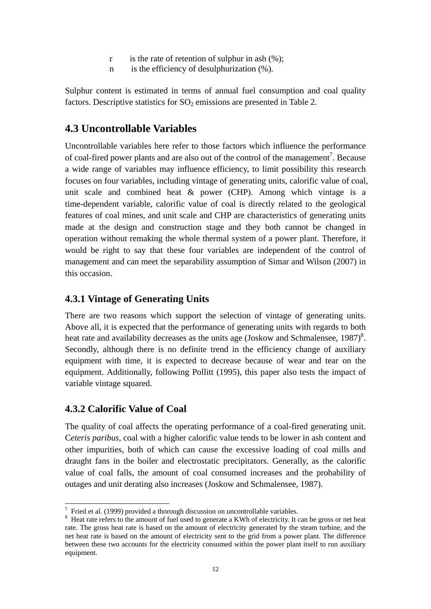- r is the rate of retention of sulphur in ash  $(\%)$ ;
- n is the efficiency of desulphurization (%).

Sulphur content is estimated in terms of annual fuel consumption and coal quality factors. Descriptive statistics for  $SO_2$  emissions are presented in Table 2.

# **4.3 Uncontrollable Variables**

Uncontrollable variables here refer to those factors which influence the performance of coal-fired power plants and are also out of the control of the management<sup>7</sup>. Because a wide range of variables may influence efficiency, to limit possibility this research focuses on four variables, including vintage of generating units, calorific value of coal, unit scale and combined heat & power (CHP). Among which vintage is a time-dependent variable, calorific value of coal is directly related to the geological features of coal mines, and unit scale and CHP are characteristics of generating units made at the design and construction stage and they both cannot be changed in operation without remaking the whole thermal system of a power plant. Therefore, it would be right to say that these four variables are independent of the control of management and can meet the separability assumption of Simar and Wilson (2007) in this occasion.

## **4.3.1 Vintage of Generating Units**

There are two reasons which support the selection of vintage of generating units. Above all, it is expected that the performance of generating units with regards to both heat rate and availability decreases as the units age (Joskow and Schmalensee, 1987)<sup>8</sup>. Secondly, although there is no definite trend in the efficiency change of auxiliary equipment with time, it is expected to decrease because of wear and tear on the equipment. Additionally, following Pollitt (1995), this paper also tests the impact of variable vintage squared.

### **4.3.2 Calorific Value of Coal**

The quality of coal affects the operating performance of a coal-fired generating unit. C*eteris paribus,* coal with a higher calorific value tends to be lower in ash content and other impurities, both of which can cause the excessive loading of coal mills and draught fans in the boiler and electrostatic precipitators. Generally, as the calorific value of coal falls, the amount of coal consumed increases and the probability of outages and unit derating also increases (Joskow and Schmalensee, 1987).

 7 Fried et al. (1999) provided a thorough discussion on uncontrollable variables.

<sup>&</sup>lt;sup>8</sup> Heat rate refers to the amount of fuel used to generate a KWh of electricity. It can be gross or net heat rate. The gross heat rate is based on the amount of electricity generated by the steam turbine, and the net heat rate is based on the amount of electricity sent to the grid from a power plant. The difference between these two accounts for the electricity consumed within the power plant itself to run auxiliary equipment.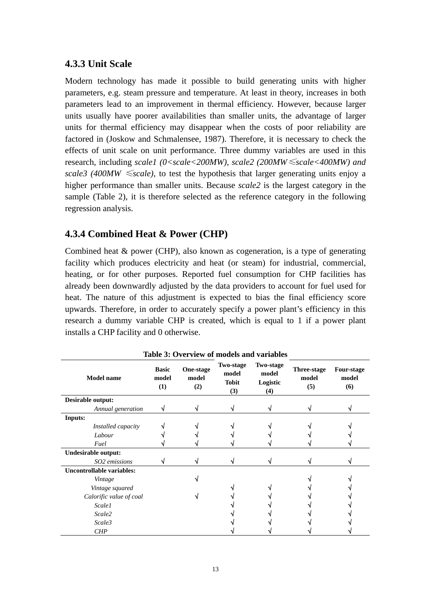### **4.3.3 Unit Scale**

Modern technology has made it possible to build generating units with higher parameters, e.g. steam pressure and temperature. At least in theory, increases in both parameters lead to an improvement in thermal efficiency. However, because larger units usually have poorer availabilities than smaller units, the advantage of larger units for thermal efficiency may disappear when the costs of poor reliability are factored in (Joskow and Schmalensee, 1987). Therefore, it is necessary to check the effects of unit scale on unit performance. Three dummy variables are used in this research, including *scale1 (0<scale<200MW), scale2 (200MW*≤*scale<400MW) and scale3 (400MW* ≤*scale)*, to test the hypothesis that larger generating units enjoy a higher performance than smaller units. Because *scale2* is the largest category in the sample (Table 2), it is therefore selected as the reference category in the following regression analysis.

## **4.3.4 Combined Heat & Power (CHP)**

Combined heat & power (CHP), also known as cogeneration, is a type of generating facility which produces electricity and heat (or steam) for industrial, commercial, heating, or for other purposes. Reported fuel consumption for CHP facilities has already been downwardly adjusted by the data providers to account for fuel used for heat. The nature of this adjustment is expected to bias the final efficiency score upwards. Therefore, in order to accurately specify a power plant's efficiency in this research a dummy variable CHP is created, which is equal to 1 if a power plant installs a CHP facility and 0 otherwise.

| UL YAV YY UL AAL                 |                              |                           |                                                  |                                              |                                    |                                   |  |  |
|----------------------------------|------------------------------|---------------------------|--------------------------------------------------|----------------------------------------------|------------------------------------|-----------------------------------|--|--|
| Model name                       | <b>Basic</b><br>model<br>(1) | One-stage<br>model<br>(2) | <b>Two-stage</b><br>model<br><b>Tobit</b><br>(3) | <b>Two-stage</b><br>model<br>Logistic<br>(4) | <b>Three-stage</b><br>model<br>(5) | <b>Four-stage</b><br>model<br>(6) |  |  |
| Desirable output:                |                              |                           |                                                  |                                              |                                    |                                   |  |  |
| Annual generation                |                              |                           |                                                  |                                              |                                    |                                   |  |  |
| <b>Inputs:</b>                   |                              |                           |                                                  |                                              |                                    |                                   |  |  |
| Installed capacity               |                              |                           |                                                  |                                              |                                    |                                   |  |  |
| Labour                           |                              |                           |                                                  |                                              |                                    |                                   |  |  |
| Fuel                             |                              |                           |                                                  |                                              |                                    |                                   |  |  |
| Undesirable output:              |                              |                           |                                                  |                                              |                                    |                                   |  |  |
| SO <sub>2</sub> emissions        |                              |                           |                                                  |                                              |                                    |                                   |  |  |
| <b>Uncontrollable variables:</b> |                              |                           |                                                  |                                              |                                    |                                   |  |  |
| Vintage                          |                              |                           |                                                  |                                              |                                    |                                   |  |  |
| Vintage squared                  |                              |                           |                                                  |                                              |                                    |                                   |  |  |
| Calorific value of coal          |                              |                           |                                                  |                                              |                                    |                                   |  |  |
| <i>Scale1</i>                    |                              |                           |                                                  |                                              |                                    |                                   |  |  |
| Scale2                           |                              |                           |                                                  |                                              |                                    |                                   |  |  |
| Scale3                           |                              |                           |                                                  |                                              |                                    |                                   |  |  |
| <b>CHP</b>                       |                              |                           |                                                  |                                              |                                    |                                   |  |  |

**Table 3: Overview of models and variables**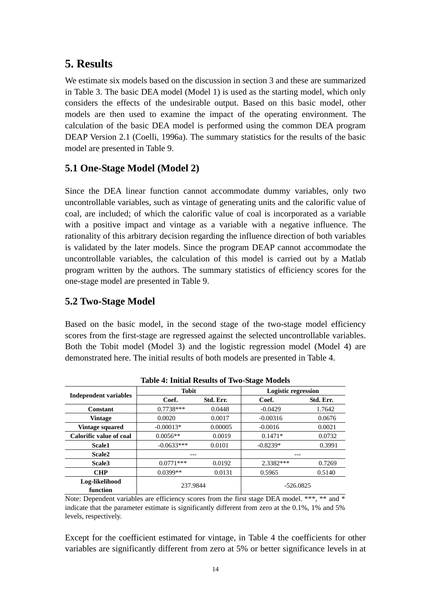# **5. Results**

We estimate six models based on the discussion in section 3 and these are summarized in Table 3. The basic DEA model (Model 1) is used as the starting model, which only considers the effects of the undesirable output. Based on this basic model, other models are then used to examine the impact of the operating environment. The calculation of the basic DEA model is performed using the common DEA program DEAP Version 2.1 (Coelli, 1996a). The summary statistics for the results of the basic model are presented in Table 9.

# **5.1 One-Stage Model (Model 2)**

Since the DEA linear function cannot accommodate dummy variables, only two uncontrollable variables, such as vintage of generating units and the calorific value of coal, are included; of which the calorific value of coal is incorporated as a variable with a positive impact and vintage as a variable with a negative influence. The rationality of this arbitrary decision regarding the influence direction of both variables is validated by the later models. Since the program DEAP cannot accommodate the uncontrollable variables, the calculation of this model is carried out by a Matlab program written by the authors. The summary statistics of efficiency scores for the one-stage model are presented in Table 9.

## **5.2 Two-Stage Model**

Based on the basic model, in the second stage of the two-stage model efficiency scores from the first-stage are regressed against the selected uncontrollable variables. Both the Tobit model (Model 3) and the logistic regression model (Model 4) are demonstrated here. The initial results of both models are presented in Table 4.

|                              |              |           | ີ                          |           |  |
|------------------------------|--------------|-----------|----------------------------|-----------|--|
|                              | <b>Tobit</b> |           | <b>Logistic regression</b> |           |  |
| <b>Independent variables</b> | Coef.        | Std. Err. | Coef.                      | Std. Err. |  |
| Constant                     | $0.7738***$  | 0.0448    | $-0.0429$                  | 1.7642    |  |
| Vintage                      | 0.0020       | 0.0017    | $-0.00316$                 | 0.0676    |  |
| Vintage squared              | $-0.00013*$  | 0.00005   | $-0.0016$                  | 0.0021    |  |
| Calorific value of coal      | $0.0056**$   | 0.0019    | $0.1471*$                  | 0.0732    |  |
| Scale1                       | $-0.0633***$ | 0.0101    | $-0.8239*$                 | 0.3991    |  |
| Scale <sub>2</sub>           |              |           |                            |           |  |
| Scale <sub>3</sub>           | $0.0771***$  | 0.0192    | 2.3382***                  | 0.7269    |  |
| <b>CHP</b>                   | $0.0399**$   | 0.0131    | 0.5965                     | 0.5140    |  |
| Log-likelihood               | 237.9844     |           | $-526.0825$                |           |  |
| function                     |              |           |                            |           |  |

**Table 4: Initial Results of Two-Stage Models**

Note: Dependent variables are efficiency scores from the first stage DEA model. \*\*\*, \*\* and \* indicate that the parameter estimate is significantly different from zero at the 0.1%, 1% and 5% levels, respectively.

Except for the coefficient estimated for vintage, in Table 4 the coefficients for other variables are significantly different from zero at 5% or better significance levels in at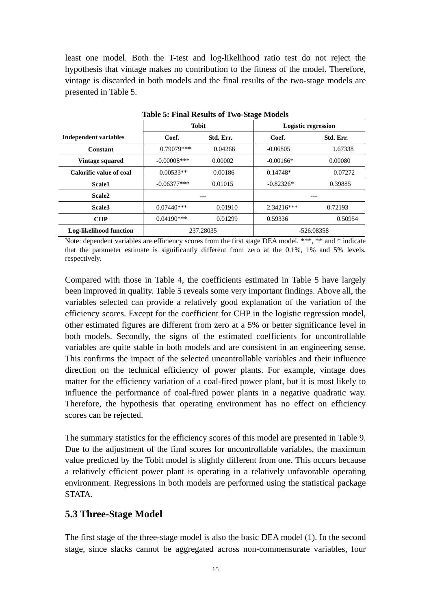least one model. Both the T-test and log-likelihood ratio test do not reject the hypothesis that vintage makes no contribution to the fitness of the model. Therefore, vintage is discarded in both models and the final results of the two-stage models are presented in Table 5.

|                              | <b>Tobit</b>              |         | <b>Logistic regression</b> |              |
|------------------------------|---------------------------|---------|----------------------------|--------------|
| <b>Independent variables</b> | Std. Err.<br>Coef.        |         | Coef.                      | Std. Err.    |
| <b>Constant</b>              | $0.79079***$              | 0.04266 | $-0.06805$                 | 1.67338      |
| Vintage squared              | $-0.00008$ ***<br>0.00002 |         | $-0.00166*$                | 0.00080      |
| Calorific value of coal      | $0.00533**$               | 0.00186 | $0.14748*$                 | 0.07272      |
| Scale1                       | $-0.06377***$             | 0.01015 | $-0.82326*$                | 0.39885      |
| Scale <sub>2</sub>           |                           |         |                            |              |
| Scale3                       | $0.07440$ ***             | 0.01910 | 2.34216***                 | 0.72193      |
| <b>CHP</b>                   | $0.04190***$              | 0.01299 | 0.59336                    | 0.50954      |
| Log-likelihood function      | 237.28035                 |         |                            | $-526.08358$ |

**Table 5: Final Results of Two-Stage Models** 

Note: dependent variables are efficiency scores from the first stage DEA model. \*\*\*, \*\* and \* indicate that the parameter estimate is significantly different from zero at the 0.1%, 1% and 5% levels, respectively.

Compared with those in Table 4, the coefficients estimated in Table 5 have largely been improved in quality. Table 5 reveals some very important findings. Above all, the variables selected can provide a relatively good explanation of the variation of the efficiency scores. Except for the coefficient for CHP in the logistic regression model, other estimated figures are different from zero at a 5% or better significance level in both models. Secondly, the signs of the estimated coefficients for uncontrollable variables are quite stable in both models and are consistent in an engineering sense. This confirms the impact of the selected uncontrollable variables and their influence direction on the technical efficiency of power plants. For example, vintage does matter for the efficiency variation of a coal-fired power plant, but it is most likely to influence the performance of coal-fired power plants in a negative quadratic way. Therefore, the hypothesis that operating environment has no effect on efficiency scores can be rejected.

The summary statistics for the efficiency scores of this model are presented in Table 9. Due to the adjustment of the final scores for uncontrollable variables, the maximum value predicted by the Tobit model is slightly different from one. This occurs because a relatively efficient power plant is operating in a relatively unfavorable operating environment. Regressions in both models are performed using the statistical package **STATA** 

#### **5.3 Three-Stage Model**

The first stage of the three-stage model is also the basic DEA model (1). In the second stage, since slacks cannot be aggregated across non-commensurate variables, four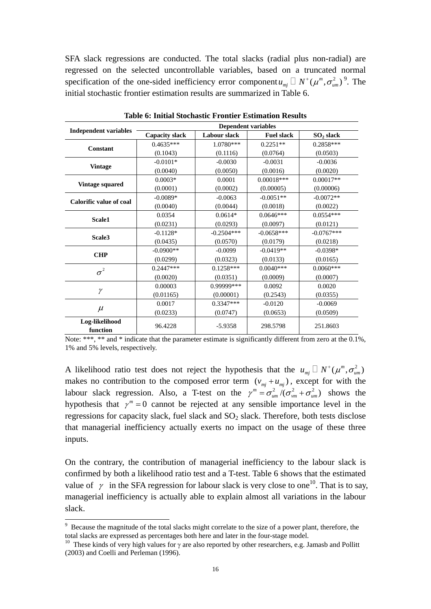SFA slack regressions are conducted. The total slacks (radial plus non-radial) are regressed on the selected uncontrollable variables, based on a truncated normal specification of the one-sided inefficiency error component  $u_{mj} \square N^+ (\mu^m, \sigma_{um}^2)^9$ . The initial stochastic frontier estimation results are summarized in Table 6.

| <b>Independent variables</b> | <b>Dependent variables</b> |                     |                   |              |  |  |  |
|------------------------------|----------------------------|---------------------|-------------------|--------------|--|--|--|
|                              | <b>Capacity slack</b>      | <b>Labour slack</b> | <b>Fuel slack</b> | $SO2$ slack  |  |  |  |
|                              | $0.4635***$                | 1.0780***           | $0.2251**$        | $0.2858***$  |  |  |  |
| <b>Constant</b>              | (0.1043)                   | (0.1116)            | (0.0764)          | (0.0503)     |  |  |  |
|                              | $-0.0101*$                 | $-0.0030$           | $-0.0031$         | $-0.0036$    |  |  |  |
| <b>Vintage</b>               | (0.0040)                   | (0.0050)            | (0.0016)          | (0.0020)     |  |  |  |
|                              | $0.0003*$                  | 0.0001              | $0.00018***$      | $0.00017**$  |  |  |  |
| Vintage squared              | (0.0001)                   | (0.0002)            | (0.00005)         | (0.00006)    |  |  |  |
| Calorific value of coal      | $-0.0089*$                 | $-0.0063$           | $-0.0051**$       | $-0.0072**$  |  |  |  |
|                              | (0.0040)                   | (0.0044)            | (0.0018)          | (0.0022)     |  |  |  |
| Scale1                       | 0.0354                     | $0.0614*$           | $0.0646***$       | $0.0554***$  |  |  |  |
|                              | (0.0231)                   | (0.0293)            | (0.0097)          | (0.0121)     |  |  |  |
| Scale3                       | $-0.1128*$                 | $-0.2504***$        | $-0.0658***$      | $-0.0767***$ |  |  |  |
|                              | (0.0435)                   | (0.0570)            | (0.0179)          | (0.0218)     |  |  |  |
| <b>CHP</b>                   | $-0.0900**$                | $-0.0099$           | $-0.0419**$       | $-0.0398*$   |  |  |  |
|                              | (0.0299)                   | (0.0323)            | (0.0133)          | (0.0165)     |  |  |  |
| $\sigma^2$                   | $0.2447***$                | $0.1258***$         | $0.0040***$       | $0.0060***$  |  |  |  |
|                              | (0.0020)                   | (0.0351)            | (0.0009)          | (0.0007)     |  |  |  |
|                              | 0.00003                    | 0.99999***          | 0.0092            | 0.0020       |  |  |  |
| γ                            | (0.01165)                  | (0.00001)           | (0.2543)          | (0.0355)     |  |  |  |
|                              | 0.0017                     | $0.3347***$         | $-0.0120$         | $-0.0069$    |  |  |  |
| $\mu$                        | (0.0233)                   | (0.0747)            | (0.0653)          | (0.0509)     |  |  |  |
| Log-likelihood<br>function   | 96.4228                    | $-5.9358$           | 298.5798          | 251.8603     |  |  |  |

**Table 6: Initial Stochastic Frontier Estimation Results** 

Note: \*\*\*, \*\* and \* indicate that the parameter estimate is significantly different from zero at the 0.1%, 1% and 5% levels, respectively.

A likelihood ratio test does not reject the hypothesis that the  $u_{mj} \square N^+ (\mu^m, \sigma_{um}^2)$ makes no contribution to the composed error term  $(v_{mj} + u_{mj})$ , except for with the labour slack regression. Also, a T-test on the  $\gamma^m = \sigma_{um}^2/(\sigma_{vm}^2 + \sigma_{um}^2)$  shows the hypothesis that  $\gamma^m = 0$  cannot be rejected at any sensible importance level in the regressions for capacity slack, fuel slack and  $SO<sub>2</sub>$  slack. Therefore, both tests disclose that managerial inefficiency actually exerts no impact on the usage of these three inputs.

On the contrary, the contribution of managerial inefficiency to the labour slack is confirmed by both a likelihood ratio test and a T-test. Table 6 shows that the estimated value of  $\gamma$  in the SFA regression for labour slack is very close to one<sup>10</sup>. That is to say, managerial inefficiency is actually able to explain almost all variations in the labour slack.

 $\overline{a}$ 

<sup>&</sup>lt;sup>9</sup> Because the magnitude of the total slacks might correlate to the size of a power plant, therefore, the total slacks are expressed as percentages both here and later in the four-stage model.<br><sup>10</sup> These kinds of very high values for γ are also reported by other researchers, e.g. Jamasb and Pollitt

<sup>(2003)</sup> and Coelli and Perleman (1996).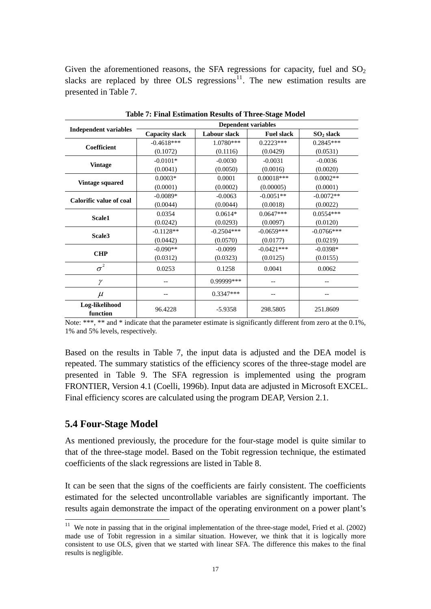Given the aforementioned reasons, the SFA regressions for capacity, fuel and  $SO_2$ slacks are replaced by three OLS regressions $11$ . The new estimation results are presented in Table 7.

|                              | <b>Dependent variables</b> |                     |                   |              |  |  |  |
|------------------------------|----------------------------|---------------------|-------------------|--------------|--|--|--|
| <b>Independent variables</b> | <b>Capacity slack</b>      | <b>Labour slack</b> | <b>Fuel slack</b> | $SO_2$ slack |  |  |  |
| Coefficient                  | $-0.4618***$               | $1.0780***$         | $0.2223***$       | $0.2845***$  |  |  |  |
|                              | (0.1072)                   | (0.1116)            | (0.0429)          | (0.0531)     |  |  |  |
|                              | $-0.0101*$                 | $-0.0030$           | $-0.0031$         | $-0.0036$    |  |  |  |
| <b>Vintage</b>               | (0.0041)                   | (0.0050)            | (0.0016)          | (0.0020)     |  |  |  |
|                              | $0.0003*$                  | 0.0001              | $0.00018***$      | $0.0002**$   |  |  |  |
| Vintage squared              | (0.0001)                   | (0.0002)            | (0.00005)         | (0.0001)     |  |  |  |
| Calorific value of coal      | $-0.0089*$                 | $-0.0063$           | $-0.0051**$       | $-0.0072**$  |  |  |  |
|                              | (0.0044)                   | (0.0044)            | (0.0018)          | (0.0022)     |  |  |  |
|                              | 0.0354                     | $0.0614*$           | $0.0647***$       | $0.0554***$  |  |  |  |
| Scale1                       | (0.0242)                   | (0.0293)            | (0.0097)          | (0.0120)     |  |  |  |
| Scale3                       | $-0.1128**$                | $-0.2504***$        | $-0.0659***$      | $-0.0766***$ |  |  |  |
|                              | (0.0442)                   | (0.0570)            | (0.0177)          | (0.0219)     |  |  |  |
| <b>CHP</b>                   | $-0.090**$                 | $-0.0099$           | $-0.0421***$      | $-0.0398*$   |  |  |  |
|                              | (0.0312)                   | (0.0323)            | (0.0125)          | (0.0155)     |  |  |  |
| $\sigma^2$                   | 0.0253                     | 0.1258              | 0.0041            | 0.0062       |  |  |  |
| $\gamma$                     |                            | 0.99999***          |                   |              |  |  |  |
| $\mu$                        |                            | $0.3347***$         |                   |              |  |  |  |
| Log-likelihood<br>function   | 96.4228                    | $-5.9358$           | 298.5805          | 251.8609     |  |  |  |

**Table 7: Final Estimation Results of Three-Stage Model** 

Note: \*\*\*, \*\* and \* indicate that the parameter estimate is significantly different from zero at the 0.1%, 1% and 5% levels, respectively.

Based on the results in Table 7, the input data is adjusted and the DEA model is repeated. The summary statistics of the efficiency scores of the three-stage model are presented in Table 9. The SFA regression is implemented using the program FRONTIER, Version 4.1 (Coelli, 1996b). Input data are adjusted in Microsoft EXCEL. Final efficiency scores are calculated using the program DEAP, Version 2.1.

### **5.4 Four-Stage Model**

 $\overline{a}$ 

As mentioned previously, the procedure for the four-stage model is quite similar to that of the three-stage model. Based on the Tobit regression technique, the estimated coefficients of the slack regressions are listed in Table 8.

It can be seen that the signs of the coefficients are fairly consistent. The coefficients estimated for the selected uncontrollable variables are significantly important. The results again demonstrate the impact of the operating environment on a power plant's

<sup>&</sup>lt;sup>11</sup> We note in passing that in the original implementation of the three-stage model, Fried et al. (2002) made use of Tobit regression in a similar situation. However, we think that it is logically more consistent to use OLS, given that we started with linear SFA. The difference this makes to the final results is negligible.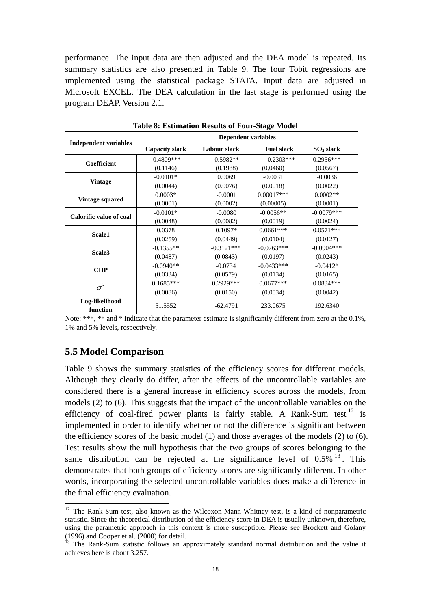performance. The input data are then adjusted and the DEA model is repeated. Its summary statistics are also presented in Table 9. The four Tobit regressions are implemented using the statistical package STATA. Input data are adjusted in Microsoft EXCEL. The DEA calculation in the last stage is performed using the program DEAP, Version 2.1.

|                                 | <b>Dependent variables</b> |              |                   |              |  |  |  |
|---------------------------------|----------------------------|--------------|-------------------|--------------|--|--|--|
| <b>Independent variables</b>    | <b>Capacity slack</b>      | Labour slack | <b>Fuel slack</b> | $SO2$ slack  |  |  |  |
|                                 | $-0.4809$ ***              | $0.5982**$   | $0.2303***$       | $0.2956***$  |  |  |  |
| Coefficient                     | (0.1146)                   | (0.1988)     | (0.0460)          | (0.0567)     |  |  |  |
|                                 | $-0.0101*$                 | 0.0069       | $-0.0031$         | $-0.0036$    |  |  |  |
| <b>Vintage</b>                  | (0.0044)                   | (0.0076)     | (0.0018)          | (0.0022)     |  |  |  |
|                                 | $0.0003*$                  | $-0.0001$    | $0.00017***$      | $0.0002**$   |  |  |  |
| Vintage squared                 | (0.0001)                   | (0.0002)     | (0.00005)         | (0.0001)     |  |  |  |
| Calorific value of coal         | $-0.0101*$                 | $-0.0080$    | $-0.0056**$       | $-0.0079***$ |  |  |  |
|                                 | (0.0048)                   | (0.0082)     | (0.0019)          | (0.0024)     |  |  |  |
| Scale1                          | 0.0378                     | $0.1097*$    | $0.0661***$       | $0.0571***$  |  |  |  |
|                                 | (0.0259)                   | (0.0449)     | (0.0104)          | (0.0127)     |  |  |  |
| Scale3                          | $-0.1355**$                | $-0.3121***$ | $-0.0763***$      | $-0.0904***$ |  |  |  |
|                                 | (0.0487)                   | (0.0843)     | (0.0197)          | (0.0243)     |  |  |  |
| <b>CHP</b>                      | $-0.0940**$                | $-0.0734$    | $-0.0433***$      | $-0.0412*$   |  |  |  |
|                                 | (0.0334)                   | (0.0579)     | (0.0134)          | (0.0165)     |  |  |  |
| $\sigma^{\scriptscriptstyle 2}$ | $0.1685***$                | 0.2929***    | $0.0677***$       | $0.0834***$  |  |  |  |
|                                 | (0.0086)                   | (0.0150)     | (0.0034)          | (0.0042)     |  |  |  |
| Log-likelihood<br>function      | 51.5552                    | $-62.4791$   | 233.0675          | 192.6340     |  |  |  |

**Table 8: Estimation Results of Four-Stage Model** 

Note: \*\*\*, \*\* and \* indicate that the parameter estimate is significantly different from zero at the 0.1%, 1% and 5% levels, respectively.

### **5.5 Model Comparison**

 $\overline{a}$ 

Table 9 shows the summary statistics of the efficiency scores for different models. Although they clearly do differ, after the effects of the uncontrollable variables are considered there is a general increase in efficiency scores across the models, from models (2) to (6). This suggests that the impact of the uncontrollable variables on the efficiency of coal-fired power plants is fairly stable. A Rank-Sum test  $^{12}$  is implemented in order to identify whether or not the difference is significant between the efficiency scores of the basic model (1) and those averages of the models (2) to (6). Test results show the null hypothesis that the two groups of scores belonging to the same distribution can be rejected at the significance level of  $0.5\%$  <sup>13</sup>. This demonstrates that both groups of efficiency scores are significantly different. In other words, incorporating the selected uncontrollable variables does make a difference in the final efficiency evaluation.

 $12$  The Rank-Sum test, also known as the Wilcoxon-Mann-Whitney test, is a kind of nonparametric statistic. Since the theoretical distribution of the efficiency score in DEA is usually unknown, therefore, using the parametric approach in this context is more susceptible. Please see Brockett and Golany (1996) and Cooper et al. (2000) for detail.

 $13$  The Rank-Sum statistic follows an approximately standard normal distribution and the value it achieves here is about 3.257.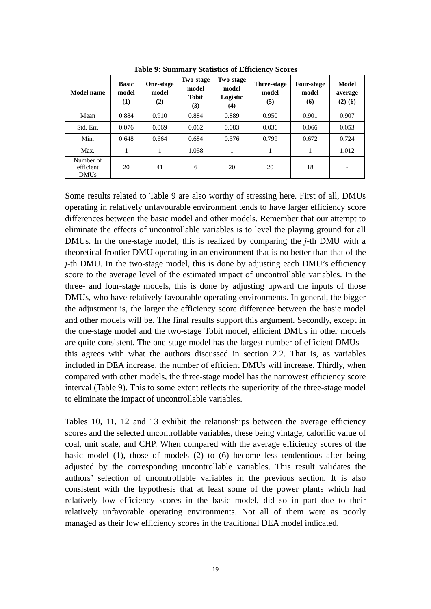| Model name                            | <b>Basic</b><br>model<br>(1) | One-stage<br>model<br>(2) | <b>Two-stage</b><br>model<br><b>Tobit</b><br>(3) | <b>Two-stage</b><br>model<br>Logistic<br>(4) | Three-stage<br>model<br>(5) | <b>Four-stage</b><br>model<br>(6) | Model<br>average<br>$(2)-(6)$ |
|---------------------------------------|------------------------------|---------------------------|--------------------------------------------------|----------------------------------------------|-----------------------------|-----------------------------------|-------------------------------|
| Mean                                  | 0.884                        | 0.910                     | 0.884                                            | 0.889                                        | 0.950                       | 0.901                             | 0.907                         |
| Std. Err.                             | 0.076                        | 0.069                     | 0.062                                            | 0.083                                        | 0.036                       | 0.066                             | 0.053                         |
| Min.                                  | 0.648                        | 0.664                     | 0.684                                            | 0.576                                        | 0.799                       | 0.672                             | 0.724                         |
| Max.                                  |                              |                           | 1.058                                            |                                              |                             |                                   | 1.012                         |
| Number of<br>efficient<br><b>DMUs</b> | 20                           | 41                        | 6                                                | 20                                           | 20                          | 18                                |                               |

**Table 9: Summary Statistics of Efficiency Scores** 

Some results related to Table 9 are also worthy of stressing here. First of all, DMUs operating in relatively unfavourable environment tends to have larger efficiency score differences between the basic model and other models. Remember that our attempt to eliminate the effects of uncontrollable variables is to level the playing ground for all DMUs. In the one-stage model, this is realized by comparing the *j*-th DMU with a theoretical frontier DMU operating in an environment that is no better than that of the *j*-th DMU. In the two-stage model, this is done by adjusting each DMU's efficiency score to the average level of the estimated impact of uncontrollable variables. In the three- and four-stage models, this is done by adjusting upward the inputs of those DMUs, who have relatively favourable operating environments. In general, the bigger the adjustment is, the larger the efficiency score difference between the basic model and other models will be. The final results support this argument. Secondly, except in the one-stage model and the two-stage Tobit model, efficient DMUs in other models are quite consistent. The one-stage model has the largest number of efficient DMUs – this agrees with what the authors discussed in section 2.2. That is, as variables included in DEA increase, the number of efficient DMUs will increase. Thirdly, when compared with other models, the three-stage model has the narrowest efficiency score interval (Table 9). This to some extent reflects the superiority of the three-stage model to eliminate the impact of uncontrollable variables.

Tables 10, 11, 12 and 13 exhibit the relationships between the average efficiency scores and the selected uncontrollable variables, these being vintage, calorific value of coal, unit scale, and CHP. When compared with the average efficiency scores of the basic model (1), those of models (2) to (6) become less tendentious after being adjusted by the corresponding uncontrollable variables. This result validates the authors' selection of uncontrollable variables in the previous section. It is also consistent with the hypothesis that at least some of the power plants which had relatively low efficiency scores in the basic model, did so in part due to their relatively unfavorable operating environments. Not all of them were as poorly managed as their low efficiency scores in the traditional DEA model indicated.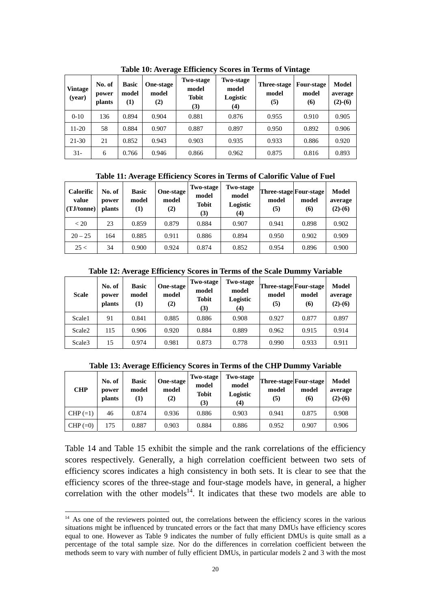| <b>Vintage</b><br>(year) | No. of<br>power<br>plants | <b>Basic</b><br>model<br>(1) | One-stage<br>model<br>(2) | <b>Two-stage</b><br>model<br><b>Tobit</b><br>(3) | <b>Two-stage</b><br>model<br>Logistic<br>(4) | Three-stage<br>model<br>(5) | <b>Four-stage</b><br>model<br>(6) | <b>Model</b><br>average<br>$(2)-(6)$ |
|--------------------------|---------------------------|------------------------------|---------------------------|--------------------------------------------------|----------------------------------------------|-----------------------------|-----------------------------------|--------------------------------------|
| $0 - 10$                 | 136                       | 0.894                        | 0.904                     | 0.881                                            | 0.876                                        | 0.955                       | 0.910                             | 0.905                                |
| $11-20$                  | 58                        | 0.884                        | 0.907                     | 0.887                                            | 0.897                                        | 0.950                       | 0.892                             | 0.906                                |
| 21-30                    | 21                        | 0.852                        | 0.943                     | 0.903                                            | 0.935                                        | 0.933                       | 0.886                             | 0.920                                |
| $31 -$                   | 6                         | 0.766                        | 0.946                     | 0.866                                            | 0.962                                        | 0.875                       | 0.816                             | 0.893                                |

**Table 10: Average Efficiency Scores in Terms of Vintage** 

**Table 11: Average Efficiency Scores in Terms of Calorific Value of Fuel** 

| <b>Calorific</b><br>value<br>(TJ/tonne) | No. of<br>power<br>plants | <b>Basic</b><br>model<br>(1) | One-stage<br>model<br>(2) | <b>Two-stage</b><br>model<br><b>Tobit</b><br>(3) | <b>Two-stage</b><br>model<br>Logistic<br>(4) | <b>Three-stage Four-stage</b><br>model<br>(5) | model<br>(6) | Model<br>average<br>$(2)-(6)$ |
|-----------------------------------------|---------------------------|------------------------------|---------------------------|--------------------------------------------------|----------------------------------------------|-----------------------------------------------|--------------|-------------------------------|
| < 20                                    | 23                        | 0.859                        | 0.879                     | 0.884                                            | 0.907                                        | 0.941                                         | 0.898        | 0.902                         |
| $20 - 25$                               | 164                       | 0.885                        | 0.911                     | 0.886                                            | 0.894                                        | 0.950                                         | 0.902        | 0.909                         |
| 25 <                                    | 34                        | 0.900                        | 0.924                     | 0.874                                            | 0.852                                        | 0.954                                         | 0.896        | 0.900                         |

| <b>Scale</b>       | No. of<br>power<br><b>plants</b> | <b>Basic</b><br>model<br>(1) | <b>One-stage</b><br>model<br>(2) | <b>Two-stage</b><br>model<br><b>Tobit</b><br>(3) | <b>Two-stage</b><br>model<br>Logistic<br>(4) | <b>Three-stage Four-stage</b><br>model<br>(5) | model<br>(6) | <b>Model</b><br>average<br>$(2)-(6)$ |
|--------------------|----------------------------------|------------------------------|----------------------------------|--------------------------------------------------|----------------------------------------------|-----------------------------------------------|--------------|--------------------------------------|
| Scale1             | 91                               | 0.841                        | 0.885                            | 0.886                                            | 0.908                                        | 0.927                                         | 0.877        | 0.897                                |
| Scale <sub>2</sub> | 115                              | 0.906                        | 0.920                            | 0.884                                            | 0.889                                        | 0.962                                         | 0.915        | 0.914                                |
| Scale <sub>3</sub> | 15                               | 0.974                        | 0.981                            | 0.873                                            | 0.778                                        | 0.990                                         | 0.933        | 0.911                                |

| Table 13: Average Efficiency Scores in Terms of the CHP Dummy Variable |  |  |  |
|------------------------------------------------------------------------|--|--|--|
|                                                                        |  |  |  |

| <b>CHP</b> | No. of<br>power<br>plants | <b>Basic</b><br>model<br>(1) | One-stage<br>model<br>(2) | Two-stage<br>model<br><b>Tobit</b><br>(3) | <b>Two-stage</b><br>model<br>Logistic<br>(4) | <b>Three-stage Four-stage</b><br>model<br>(5) | model<br>(6) | <b>Model</b><br>average<br>$(2)-(6)$ |
|------------|---------------------------|------------------------------|---------------------------|-------------------------------------------|----------------------------------------------|-----------------------------------------------|--------------|--------------------------------------|
| $CHP (=1)$ | 46                        | 0.874                        | 0.936                     | 0.886                                     | 0.903                                        | 0.941                                         | 0.875        | 0.908                                |
| $CHP (=0)$ | 175                       | 0.887                        | 0.903                     | 0.884                                     | 0.886                                        | 0.952                                         | 0.907        | 0.906                                |

Table 14 and Table 15 exhibit the simple and the rank correlations of the efficiency scores respectively. Generally, a high correlation coefficient between two sets of efficiency scores indicates a high consistency in both sets. It is clear to see that the efficiency scores of the three-stage and four-stage models have, in general, a higher correlation with the other models<sup>14</sup>. It indicates that these two models are able to

 $\overline{a}$ 

 $14$  As one of the reviewers pointed out, the correlations between the efficiency scores in the various situations might be influenced by truncated errors or the fact that many DMUs have efficiency scores equal to one. However as Table 9 indicates the number of fully efficient DMUs is quite small as a percentage of the total sample size. Nor do the differences in correlation coefficient between the methods seem to vary with number of fully efficient DMUs, in particular models 2 and 3 with the most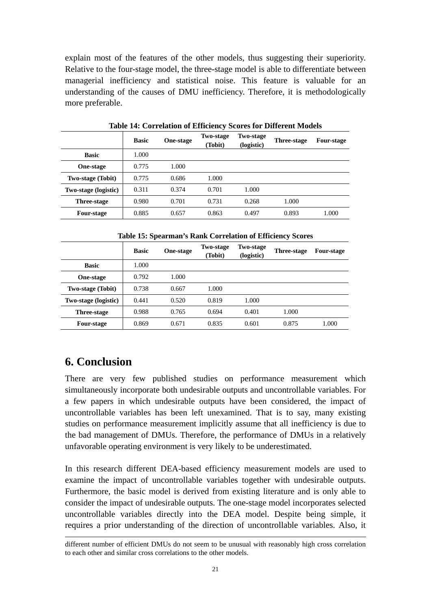explain most of the features of the other models, thus suggesting their superiority. Relative to the four-stage model, the three-stage model is able to differentiate between managerial inefficiency and statistical noise. This feature is valuable for an understanding of the causes of DMU inefficiency. Therefore, it is methodologically more preferable.

|                          | <b>Basic</b> | <b>One-stage</b> | <b>Two-stage</b><br>(Tobit) | <b>Two-stage</b><br>(logistic) | Three-stage | <b>Four-stage</b> |
|--------------------------|--------------|------------------|-----------------------------|--------------------------------|-------------|-------------------|
| <b>Basic</b>             | 1.000        |                  |                             |                                |             |                   |
| <b>One-stage</b>         | 0.775        | 1.000            |                             |                                |             |                   |
| <b>Two-stage (Tobit)</b> | 0.775        | 0.686            | 1.000                       |                                |             |                   |
| Two-stage (logistic)     | 0.311        | 0.374            | 0.701                       | 1.000                          |             |                   |
| Three-stage              | 0.980        | 0.701            | 0.731                       | 0.268                          | 1.000       |                   |
| <b>Four-stage</b>        | 0.885        | 0.657            | 0.863                       | 0.497                          | 0.893       | 1.000             |

**Table 14: Correlation of Efficiency Scores for Different Models** 

|  | Table 15: Spearman's Rank Correlation of Efficiency Scores |  |  |  |
|--|------------------------------------------------------------|--|--|--|
|--|------------------------------------------------------------|--|--|--|

|                      | <b>Basic</b> | <b>One-stage</b> | <b>Two-stage</b><br>(Tobit) | <b>Two-stage</b><br>(logistic) | Three-stage | <b>Four-stage</b> |
|----------------------|--------------|------------------|-----------------------------|--------------------------------|-------------|-------------------|
| <b>Basic</b>         | 1.000        |                  |                             |                                |             |                   |
| <b>One-stage</b>     | 0.792        | 1.000            |                             |                                |             |                   |
| Two-stage (Tobit)    | 0.738        | 0.667            | 1.000                       |                                |             |                   |
| Two-stage (logistic) | 0.441        | 0.520            | 0.819                       | 1.000                          |             |                   |
| Three-stage          | 0.988        | 0.765            | 0.694                       | 0.401                          | 1.000       |                   |
| <b>Four-stage</b>    | 0.869        | 0.671            | 0.835                       | 0.601                          | 0.875       | 1.000             |

# **6. Conclusion**

<u>.</u>

There are very few published studies on performance measurement which simultaneously incorporate both undesirable outputs and uncontrollable variables. For a few papers in which undesirable outputs have been considered, the impact of uncontrollable variables has been left unexamined. That is to say, many existing studies on performance measurement implicitly assume that all inefficiency is due to the bad management of DMUs. Therefore, the performance of DMUs in a relatively unfavorable operating environment is very likely to be underestimated.

In this research different DEA-based efficiency measurement models are used to examine the impact of uncontrollable variables together with undesirable outputs. Furthermore, the basic model is derived from existing literature and is only able to consider the impact of undesirable outputs. The one-stage model incorporates selected uncontrollable variables directly into the DEA model. Despite being simple, it requires a prior understanding of the direction of uncontrollable variables. Also, it

different number of efficient DMUs do not seem to be unusual with reasonably high cross correlation to each other and similar cross correlations to the other models.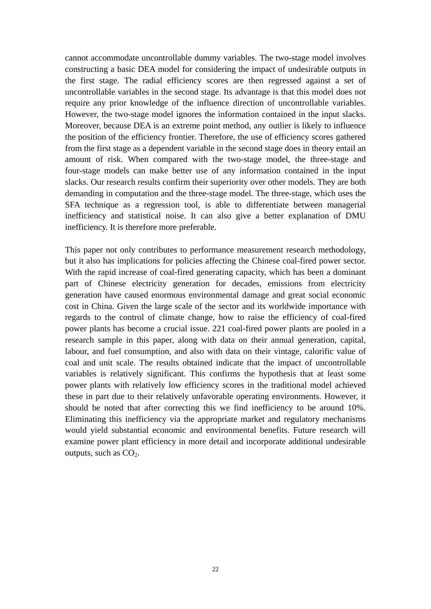cannot accommodate uncontrollable dummy variables. The two-stage model involves constructing a basic DEA model for considering the impact of undesirable outputs in the first stage. The radial efficiency scores are then regressed against a set of uncontrollable variables in the second stage. Its advantage is that this model does not require any prior knowledge of the influence direction of uncontrollable variables. However, the two-stage model ignores the information contained in the input slacks. Moreover, because DEA is an extreme point method, any outlier is likely to influence the position of the efficiency frontier. Therefore, the use of efficiency scores gathered from the first stage as a dependent variable in the second stage does in theory entail an amount of risk. When compared with the two-stage model, the three-stage and four-stage models can make better use of any information contained in the input slacks. Our research results confirm their superiority over other models. They are both demanding in computation and the three-stage model. The three-stage, which uses the SFA technique as a regression tool, is able to differentiate between managerial inefficiency and statistical noise. It can also give a better explanation of DMU inefficiency. It is therefore more preferable.

This paper not only contributes to performance measurement research methodology, but it also has implications for policies affecting the Chinese coal-fired power sector. With the rapid increase of coal-fired generating capacity, which has been a dominant part of Chinese electricity generation for decades, emissions from electricity generation have caused enormous environmental damage and great social economic cost in China. Given the large scale of the sector and its worldwide importance with regards to the control of climate change, how to raise the efficiency of coal-fired power plants has become a crucial issue. 221 coal-fired power plants are pooled in a research sample in this paper, along with data on their annual generation, capital, labour, and fuel consumption, and also with data on their vintage, calorific value of coal and unit scale. The results obtained indicate that the impact of uncontrollable variables is relatively significant. This confirms the hypothesis that at least some power plants with relatively low efficiency scores in the traditional model achieved these in part due to their relatively unfavorable operating environments. However, it should be noted that after correcting this we find inefficiency to be around 10%. Eliminating this inefficiency via the appropriate market and regulatory mechanisms would yield substantial economic and environmental benefits. Future research will examine power plant efficiency in more detail and incorporate additional undesirable outputs, such as  $CO<sub>2</sub>$ .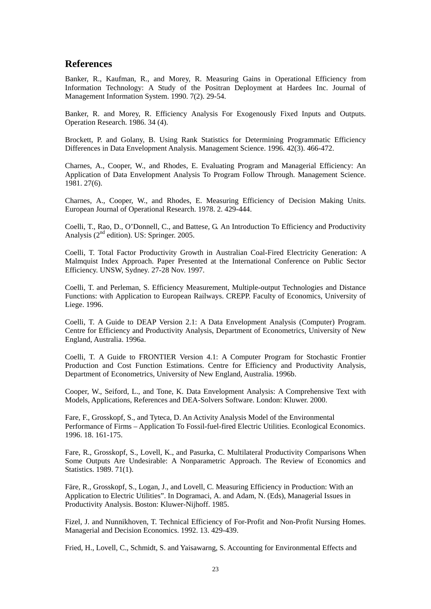#### **References**

Banker, R., Kaufman, R., and Morey, R. Measuring Gains in Operational Efficiency from Information Technology: A Study of the Positran Deployment at Hardees Inc. Journal of Management Information System. 1990. 7(2). 29-54.

Banker, R. and Morey, R. Efficiency Analysis For Exogenously Fixed Inputs and Outputs. Operation Research. 1986. 34 (4).

Brockett, P. and Golany, B. Using Rank Statistics for Determining Programmatic Efficiency Differences in Data Envelopment Analysis. Management Science. 1996. 42(3). 466-472.

Charnes, A., Cooper, W., and Rhodes, E. Evaluating Program and Managerial Efficiency: An Application of Data Envelopment Analysis To Program Follow Through. Management Science. 1981. 27(6).

Charnes, A., Cooper, W., and Rhodes, E. Measuring Efficiency of Decision Making Units. European Journal of Operational Research. 1978. 2. 429-444.

Coelli, T., Rao, D., O'Donnell, C., and Battese, G. An Introduction To Efficiency and Productivity Analysis (2<sup>nd</sup> edition). US: Springer. 2005.

Coelli, T. Total Factor Productivity Growth in Australian Coal-Fired Electricity Generation: A Malmquist Index Approach. Paper Presented at the International Conference on Public Sector Efficiency. UNSW, Sydney. 27-28 Nov. 1997.

Coelli, T. and Perleman, S. Efficiency Measurement, Multiple-output Technologies and Distance Functions: with Application to European Railways. CREPP. Faculty of Economics, University of Liege. 1996.

Coelli, T. A Guide to DEAP Version 2.1: A Data Envelopment Analysis (Computer) Program. Centre for Efficiency and Productivity Analysis, Department of Econometrics, University of New England, Australia. 1996a.

Coelli, T. A Guide to FRONTIER Version 4.1: A Computer Program for Stochastic Frontier Production and Cost Function Estimations. Centre for Efficiency and Productivity Analysis, Department of Econometrics, University of New England, Australia. 1996b.

Cooper, W., Seiford, L., and Tone, K. Data Envelopment Analysis: A Comprehensive Text with Models, Applications, References and DEA-Solvers Software. London: Kluwer. 2000.

Fare, F., Grosskopf, S., and Tyteca, D. An Activity Analysis Model of the Environmental Performance of Firms – Application To Fossil-fuel-fired Electric Utilities. Econlogical Economics. 1996. 18. 161-175.

Fare, R., Grosskopf, S., Lovell, K., and Pasurka, C. Multilateral Productivity Comparisons When Some Outputs Are Undesirable: A Nonparametric Approach. The Review of Economics and Statistics. 1989. 71(1).

Färe, R., Grosskopf, S., Logan, J., and Lovell, C. Measuring Efficiency in Production: With an Application to Electric Utilities". In Dogramaci, A. and Adam, N. (Eds), Managerial Issues in Productivity Analysis. Boston: Kluwer-Nijhoff. 1985.

Fizel, J. and Nunnikhoven, T. Technical Efficiency of For-Profit and Non-Profit Nursing Homes. Managerial and Decision Economics. 1992. 13. 429-439.

Fried, H., Lovell, C., Schmidt, S. and Yaisawarng, S. Accounting for Environmental Effects and